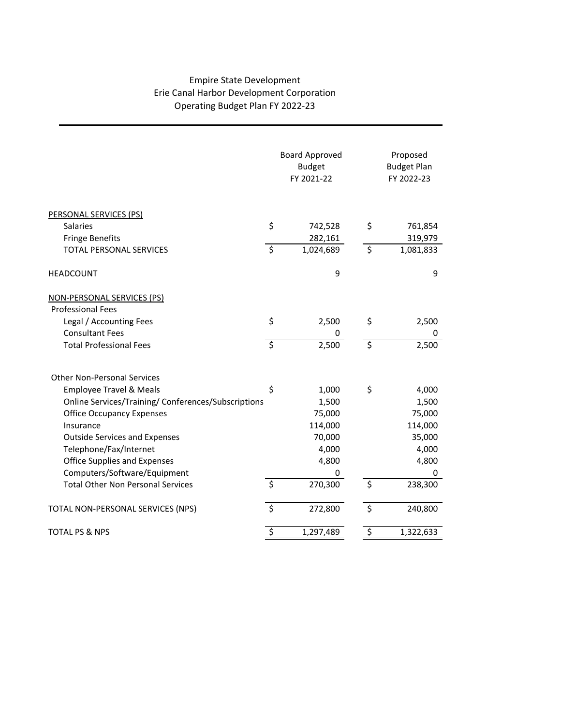## Empire State Development Erie Canal Harbor Development Corporation Operating Budget Plan FY 2022-23

|                                                     | <b>Board Approved</b><br><b>Budget</b><br>FY 2021-22 |           | Proposed<br><b>Budget Plan</b><br>FY 2022-23 |
|-----------------------------------------------------|------------------------------------------------------|-----------|----------------------------------------------|
| PERSONAL SERVICES (PS)                              |                                                      |           |                                              |
| <b>Salaries</b>                                     | \$                                                   | 742,528   | \$<br>761,854                                |
| <b>Fringe Benefits</b>                              |                                                      | 282,161   | 319,979                                      |
| <b>TOTAL PERSONAL SERVICES</b>                      | \$                                                   | 1,024,689 | \$<br>1,081,833                              |
| <b>HEADCOUNT</b>                                    |                                                      | 9         | 9                                            |
| NON-PERSONAL SERVICES (PS)                          |                                                      |           |                                              |
| <b>Professional Fees</b>                            |                                                      |           |                                              |
| Legal / Accounting Fees                             | \$                                                   | 2,500     | \$<br>2,500                                  |
| <b>Consultant Fees</b>                              |                                                      | 0         | 0                                            |
| <b>Total Professional Fees</b>                      | \$                                                   | 2,500     | \$<br>2,500                                  |
| <b>Other Non-Personal Services</b>                  |                                                      |           |                                              |
| <b>Employee Travel &amp; Meals</b>                  | \$                                                   | 1,000     | \$<br>4,000                                  |
| Online Services/Training/ Conferences/Subscriptions |                                                      | 1,500     | 1,500                                        |
| <b>Office Occupancy Expenses</b>                    |                                                      | 75,000    | 75,000                                       |
| Insurance                                           |                                                      | 114,000   | 114,000                                      |
| <b>Outside Services and Expenses</b>                |                                                      | 70,000    | 35,000                                       |
| Telephone/Fax/Internet                              |                                                      | 4,000     | 4,000                                        |
| <b>Office Supplies and Expenses</b>                 |                                                      | 4,800     | 4,800                                        |
| Computers/Software/Equipment                        |                                                      | 0         | 0                                            |
| <b>Total Other Non Personal Services</b>            | $\zeta$                                              | 270,300   | \$<br>238,300                                |
| TOTAL NON-PERSONAL SERVICES (NPS)                   | \$                                                   | 272,800   | \$<br>240,800                                |
| <b>TOTAL PS &amp; NPS</b>                           | \$                                                   | 1,297,489 | \$<br>1,322,633                              |